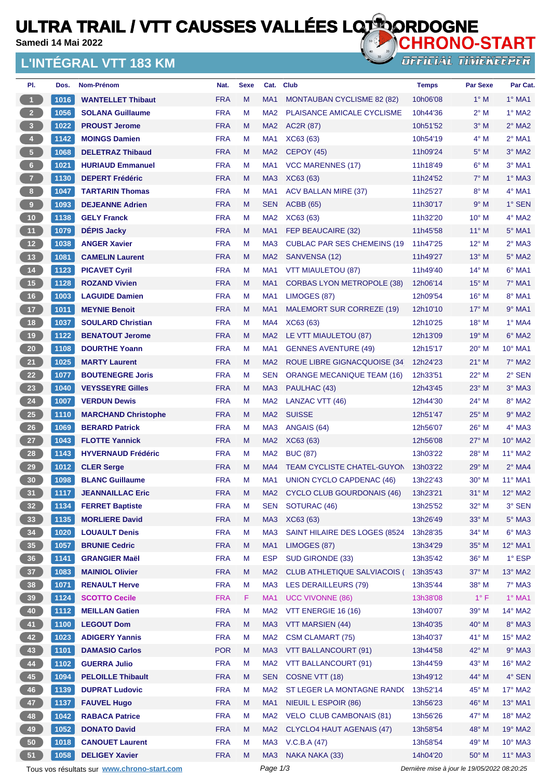# **ULTRA TRAIL / VTT CAUSSES VALLÉES LOTIORDOGNE**

**Samedi 14 Mai 2022**

#### **L'INTÉGRAL VTT 183 KM**



| PI.                     | Dos. | Nom-Prénom                                  | Nat.       | <b>Sexe</b> |                 | Cat. Club                           | <b>Temps</b>                                | <b>Par Sexe</b> | Par Cat.         |
|-------------------------|------|---------------------------------------------|------------|-------------|-----------------|-------------------------------------|---------------------------------------------|-----------------|------------------|
| $\mathbf{1}$            | 1016 | <b>WANTELLET Thibaut</b>                    | <b>FRA</b> | M           | MA <sub>1</sub> | MONTAUBAN CYCLISME 82 (82)          | 10h06'08                                    | $1^\circ$ M     | $1^\circ$ MA1    |
| $2^{\circ}$             | 1056 | <b>SOLANA Guillaume</b>                     | <b>FRA</b> | М           | MA <sub>2</sub> | PLAISANCE AMICALE CYCLISME          | 10h44'36                                    | $2^{\circ}$ M   | $1^\circ$ MA2    |
| $\overline{\mathbf{3}}$ | 1022 | <b>PROUST Jerome</b>                        | <b>FRA</b> | M           | MA <sub>2</sub> | AC2R (87)                           | 10h51'52                                    | $3^\circ$ M     | $2^\circ$ MA2    |
| $\overline{4}$          | 1142 | <b>MOINGS Damien</b>                        | <b>FRA</b> | M           | MA <sub>1</sub> | XC63 (63)                           | 10h54'19                                    | $4^\circ$ M     | $2°$ MA1         |
| 5 <sup>7</sup>          | 1068 | <b>DELETRAZ Thibaud</b>                     | <b>FRA</b> | M           | MA <sub>2</sub> | <b>CEPOY (45)</b>                   | 11h09'24                                    | $5^\circ$ M     | 3° MA2           |
| 6 <sup>1</sup>          | 1021 | <b>HURIAUD Emmanuel</b>                     | <b>FRA</b> | M           | MA <sub>1</sub> | <b>VCC MARENNES (17)</b>            | 11h18'49                                    | $6^\circ$ M     | $3°$ MA1         |
| 7 <sup>2</sup>          | 1130 | <b>DEPERT Frédéric</b>                      | <b>FRA</b> | M           | MA <sub>3</sub> | XC63 (63)                           | 11h24'52                                    | $7^\circ$ M     | $1^\circ$ MA3    |
| 8 <sub>1</sub>          | 1047 | <b>TARTARIN Thomas</b>                      | <b>FRA</b> | М           | MA <sub>1</sub> | <b>ACV BALLAN MIRE (37)</b>         | 11h25'27                                    | $8^\circ$ M     | $4°$ MA1         |
| $\mathbf 9$             | 1093 | <b>DEJEANNE Adrien</b>                      | <b>FRA</b> | M           | <b>SEN</b>      | <b>ACBB</b> (65)                    | 11h30'17                                    | 9° M            | 1° SEN           |
| 10 <sub>1</sub>         | 1138 | <b>GELY Franck</b>                          | <b>FRA</b> | М           | MA <sub>2</sub> | XC63 (63)                           | 11h32'20                                    | $10^{\circ}$ M  | 4° MA2           |
| 11 <sup>7</sup>         | 1079 | <b>DÉPIS Jacky</b>                          | <b>FRA</b> | M           | MA1             | FEP BEAUCAIRE (32)                  | 11h45'58                                    | $11^{\circ}$ M  | $5^\circ$ MA1    |
| 12                      | 1038 | <b>ANGER Xavier</b>                         | <b>FRA</b> | м           | MA <sub>3</sub> | <b>CUBLAC PAR SES CHEMEINS (19)</b> | 11h47'25                                    | 12° M           | $2°$ MA3         |
| 13 <sup>°</sup>         | 1081 | <b>CAMELIN Laurent</b>                      | <b>FRA</b> | M           | MA <sub>2</sub> | SANVENSA (12)                       | 11h49'27                                    | $13^{\circ}$ M  | $5^\circ$ MA2    |
| 14                      | 1123 | <b>PICAVET Cyril</b>                        | <b>FRA</b> | M           | MA1             | VTT MIAULETOU (87)                  | 11h49'40                                    | $14^{\circ}$ M  | $6^\circ$ MA1    |
| 15                      | 1128 | <b>ROZAND Vivien</b>                        | <b>FRA</b> | M           | MA <sub>1</sub> | <b>CORBAS LYON METROPOLE (38)</b>   | 12h06'14                                    | $15^{\circ}$ M  | 7° MA1           |
| 16                      | 1003 | <b>LAGUIDE Damien</b>                       | <b>FRA</b> | M           | MA <sub>1</sub> | LIMOGES (87)                        | 12h09'54                                    | $16^{\circ}$ M  | 8° MA1           |
| 17 <sup>°</sup>         | 1011 | <b>MEYNIE Benoit</b>                        | <b>FRA</b> | M           | MA <sub>1</sub> | MALEMORT SUR CORREZE (19)           | 12h10'10                                    | $17^{\circ}$ M  | $9°$ MA1         |
| 18                      | 1037 | <b>SOULARD Christian</b>                    | <b>FRA</b> | M           | MA4             | XC63 (63)                           | 12h10'25                                    | $18^{\circ}$ M  | $1^\circ$ MA4    |
| 19                      | 1122 | <b>BENATOUT Jerome</b>                      | <b>FRA</b> | M           | MA <sub>2</sub> | LE VTT MIAULETOU (87)               | 12h13'09                                    | $19°$ M         | 6° MA2           |
| 20 <sub>2</sub>         | 1108 | <b>DOURTHE Yoann</b>                        | <b>FRA</b> | M           | MA1             | <b>GENNES AVENTURE (49)</b>         | 12h15'17                                    | $20^{\circ}$ M  | $10^{\circ}$ MA1 |
| 21                      | 1025 | <b>MARTY Laurent</b>                        | <b>FRA</b> | M           | MA <sub>2</sub> | ROUE LIBRE GIGNACQUOISE (34         | 12h24'23                                    | $21°$ M         | $7^\circ$ MA2    |
| 22                      | 1077 | <b>BOUTENEGRE Joris</b>                     | <b>FRA</b> | M           | SEN             | <b>ORANGE MECANIQUE TEAM (16)</b>   | 12h33'51                                    | $22^{\circ}$ M  | 2° SEN           |
| 23                      | 1040 | <b>VEYSSEYRE Gilles</b>                     | <b>FRA</b> | M           | MA <sub>3</sub> | PAULHAC (43)                        | 12h43'45                                    | $23^\circ$ M    | $3°$ MA3         |
| 24                      | 1007 | <b>VERDUN Dewis</b>                         | <b>FRA</b> | М           | MA <sub>2</sub> | LANZAC VTT (46)                     | 12h44'30                                    | $24^{\circ}$ M  | $8^\circ$ MA2    |
| 25                      | 1110 | <b>MARCHAND Christophe</b>                  | <b>FRA</b> | М           | MA <sub>2</sub> | <b>SUISSE</b>                       | 12h51'47                                    | $25^{\circ}$ M  | $9°$ MA2         |
| 26                      | 1069 | <b>BERARD Patrick</b>                       | <b>FRA</b> | M           | MA <sub>3</sub> | ANGAIS (64)                         | 12h56'07                                    | $26^{\circ}$ M  | $4°$ MA3         |
| 27                      | 1043 | <b>FLOTTE Yannick</b>                       | <b>FRA</b> | M           | MA <sub>2</sub> | XC63 (63)                           | 12h56'08                                    | $27^\circ$ M    | $10^{\circ}$ MA2 |
| 28                      | 1143 | <b>HYVERNAUD Frédéric</b>                   | <b>FRA</b> | M           | MA <sub>2</sub> | <b>BUC (87)</b>                     | 13h03'22                                    | 28° M           | 11° MA2          |
| 29                      | 1012 | <b>CLER Serge</b>                           | <b>FRA</b> | M           | MA4             | TEAM CYCLISTE CHATEL-GUYON          | 13h03'22                                    | $29^\circ$ M    | $2^\circ$ MA4    |
| 30                      | 1098 | <b>BLANC Guillaume</b>                      | <b>FRA</b> | M           | MA1             | <b>UNION CYCLO CAPDENAC (46)</b>    | 13h22'43                                    | $30^\circ$ M    | 11° MA1          |
| 31                      | 1117 | <b>JEANNAILLAC Eric</b>                     | <b>FRA</b> | M           | MA <sub>2</sub> | <b>CYCLO CLUB GOURDONAIS (46)</b>   | 13h23'21                                    | 31° M           | 12° MA2          |
| 32 <sub>2</sub>         | 1134 | <b>FERRET Baptiste</b>                      | <b>FRA</b> | M           | <b>SEN</b>      | SOTURAC (46)                        | 13h25'52                                    | 32° M           | 3° SEN           |
| 33 <sup>°</sup>         | 1135 | <b>MORLIERE David</b>                       | <b>FRA</b> | M           | MA <sub>3</sub> | XC63 (63)                           | 13h26'49                                    | 33° M           | $5^\circ$ MA3    |
| 34                      | 1020 | <b>LOUAULT Denis</b>                        | <b>FRA</b> | M           | MA <sub>3</sub> | SAINT HILAIRE DES LOGES (8524       | 13h28'35                                    | 34° M           | 6° MA3           |
| 35 <sup>°</sup>         | 1057 | <b>BRUNIE Cedric</b>                        | <b>FRA</b> | M           | MA <sub>1</sub> | LIMOGES (87)                        | 13h34'29                                    | 35° M           | 12° MA1          |
| 36 <sup>°</sup>         | 1141 | <b>GRANGIER Maël</b>                        | <b>FRA</b> | М           | <b>ESP</b>      | SUD GIRONDE (33)                    | 13h35'42                                    | 36° M           | 1° ESP           |
| 37 <sub>2</sub>         | 1083 | <b>MAINIOL Olivier</b>                      | <b>FRA</b> | M           | MA <sub>2</sub> | <b>CLUB ATHLETIQUE SALVIACOIS (</b> | 13h35'43                                    | 37° M           | 13° MA2          |
| 38 <sup>°</sup>         | 1071 | <b>RENAULT Herve</b>                        | <b>FRA</b> | M           | MA <sub>3</sub> | <b>LES DERAILLEURS (79)</b>         | 13h35'44                                    | 38° M           | $7°$ MA3         |
| 39 <sub>o</sub>         | 1124 | <b>SCOTTO Cecile</b>                        | <b>FRA</b> | F           | MA <sub>1</sub> | <b>UCC VIVONNE (86)</b>             | 13h38'08                                    | $1^{\circ}$ F   | $1°$ MA1         |
| 40                      | 1112 | <b>MEILLAN Gatien</b>                       | <b>FRA</b> | M           | MA <sub>2</sub> | VTT ENERGIE 16 (16)                 | 13h40'07                                    | 39° M           | 14° MA2          |
| 41                      | 1100 | <b>LEGOUT Dom</b>                           | <b>FRA</b> | M           | MA <sub>3</sub> | <b>VTT MARSIEN (44)</b>             | 13h40'35                                    | 40° M           | 8° MA3           |
| 42                      | 1023 | <b>ADIGERY Yannis</b>                       | <b>FRA</b> | M           | MA <sub>2</sub> | <b>CSM CLAMART (75)</b>             | 13h40'37                                    | 41° M           | 15° MA2          |
| 43                      | 1101 | <b>DAMASIO Carlos</b>                       | <b>POR</b> | M           | MA <sub>3</sub> | VTT BALLANCOURT (91)                | 13h44'58                                    | 42° M           | $9°$ MA3         |
| 44                      | 1102 | <b>GUERRA Julio</b>                         | <b>FRA</b> | M           | MA <sub>2</sub> | VTT BALLANCOURT (91)                | 13h44'59                                    | 43° M           | 16° MA2          |
| 45                      | 1094 | <b>PELOILLE Thibault</b>                    | <b>FRA</b> | M           | <b>SEN</b>      | COSNE VTT (18)                      | 13h49'12                                    | 44° M           | 4° SEN           |
| 46                      | 1139 | <b>DUPRAT Ludovic</b>                       | <b>FRA</b> | M           | MA <sub>2</sub> | ST LEGER LA MONTAGNE RAND(          | 13h52'14                                    | 45° M           | 17° MA2          |
| 47                      | 1137 | <b>FAUVEL Hugo</b>                          | <b>FRA</b> | M           | MA <sub>1</sub> | NIEUIL L ESPOIR (86)                | 13h56'23                                    | 46° M           | 13° MA1          |
| 48                      | 1042 | <b>RABACA Patrice</b>                       | <b>FRA</b> | M           | MA <sub>2</sub> | <b>VELO CLUB CAMBONAIS (81)</b>     | 13h56'26                                    | 47° M           | 18° MA2          |
| 49                      | 1052 | <b>DONATO David</b>                         | <b>FRA</b> | M           | MA <sub>2</sub> | CLYCLO4 HAUT AGENAIS (47)           | 13h58'54                                    | 48° M           | 19° MA2          |
| 50                      | 1018 | <b>CANOUET Laurent</b>                      | <b>FRA</b> | M           | MA <sub>3</sub> | V.C.B.A (47)                        | 13h58'54                                    | 49° M           | 10° MA3          |
| 51                      | 1058 | <b>DELIGEY Xavier</b>                       | <b>FRA</b> | M           | MA3             | NAKA NAKA (33)                      | 14h04'20                                    | 50° M           | $11^{\circ}$ MA3 |
|                         |      | Tous vos résultats sur www.chrono-start.com |            |             | Page 1/3        |                                     | Dernière mise à jour le 19/05/2022 08:20:25 |                 |                  |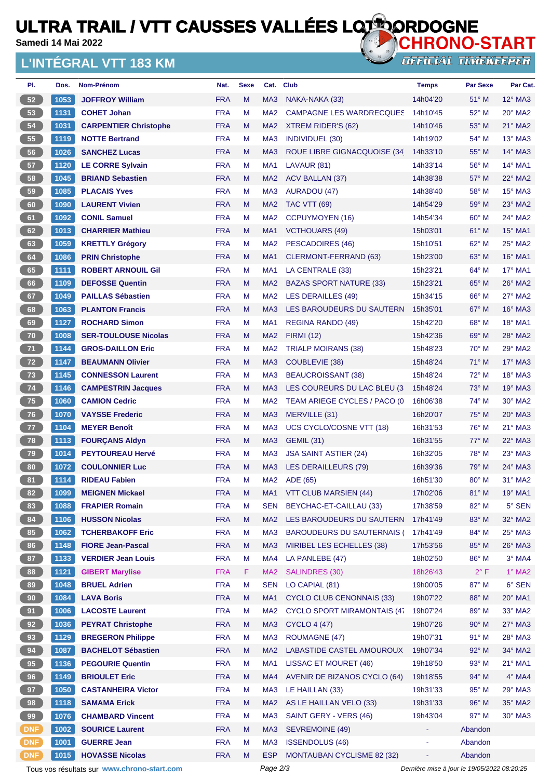## **ULTRA TRAIL / VTT CAUSSES VALLÉES LOTIORDOGNE**

**Samedi 14 Mai 2022**

#### **L'INTÉGRAL VTT 183 KM**



| PI.             | Dos.                                                                                                   | Nom-Prénom                   | Nat.       | <b>Sexe</b> |                 | Cat. Club                           | <b>Temps</b> | <b>Par Sexe</b> | Par Cat.         |  |
|-----------------|--------------------------------------------------------------------------------------------------------|------------------------------|------------|-------------|-----------------|-------------------------------------|--------------|-----------------|------------------|--|
| 52              | 1053                                                                                                   | <b>JOFFROY William</b>       | <b>FRA</b> | M           | MA <sub>3</sub> | NAKA-NAKA (33)                      | 14h04'20     | $51^\circ$ M    | $12^\circ$ MA3   |  |
| 53              | 1131                                                                                                   | <b>COHET Johan</b>           | <b>FRA</b> | M           | MA <sub>2</sub> | <b>CAMPAGNE LES WARDRECQUES</b>     | 14h10'45     | 52° M           | $20^\circ$ MA2   |  |
| 54              | 1031                                                                                                   | <b>CARPENTIER Christophe</b> | <b>FRA</b> | M           | MA <sub>2</sub> | XTREM RIDER'S (62)                  | 14h10'46     | $53^\circ$ M    | $21^\circ$ MA2   |  |
| 55              | 1119                                                                                                   | <b>NOTTE Bertrand</b>        | <b>FRA</b> | M           | MA <sub>3</sub> | <b>INDIVIDUEL (30)</b>              | 14h19'02     | $54^{\circ}$ M  | $13^\circ$ MA3   |  |
| 56              | 1026                                                                                                   | <b>SANCHEZ Lucas</b>         | <b>FRA</b> | M           | MA <sub>3</sub> | ROUE LIBRE GIGNACQUOISE (34         | 14h33'10     | $55^{\circ}$ M  | $14^\circ$ MA3   |  |
| 57              | 1120                                                                                                   | <b>LE CORRE Sylvain</b>      | <b>FRA</b> | м           | MA <sub>1</sub> | LAVAUR (81)                         | 14h33'14     | 56° M           | 14° MA1          |  |
| 58              | 1045                                                                                                   | <b>BRIAND Sebastien</b>      | <b>FRA</b> | M           | MA <sub>2</sub> | <b>ACV BALLAN (37)</b>              | 14h38'38     | 57° M           | 22° MA2          |  |
| 59              | 1085                                                                                                   | <b>PLACAIS Yves</b>          | <b>FRA</b> | M           | MA <sub>3</sub> | <b>AURADOU (47)</b>                 | 14h38'40     | 58° M           | 15° MA3          |  |
| 60              | 1090                                                                                                   | <b>LAURENT Vivien</b>        | <b>FRA</b> | M           | MA <sub>2</sub> | <b>TAC VTT (69)</b>                 | 14h54'29     | 59° M           | 23° MA2          |  |
| 61              | 1092                                                                                                   | <b>CONIL Samuel</b>          | <b>FRA</b> | M           | MA <sub>2</sub> | <b>CCPUYMOYEN (16)</b>              | 14h54'34     | $60^\circ$ M    | $24^\circ$ MA2   |  |
| 62              | 1013                                                                                                   | <b>CHARRIER Mathieu</b>      | <b>FRA</b> | M           | MA <sub>1</sub> | <b>VCTHOUARS (49)</b>               | 15h03'01     | $61^\circ$ M    | 15° MA1          |  |
| 63              | 1059                                                                                                   | <b>KRETTLY Grégory</b>       | <b>FRA</b> | M           | MA <sub>2</sub> | <b>PESCADOIRES (46)</b>             | 15h10'51     | 62° M           | 25° MA2          |  |
| 64              | 1086                                                                                                   | <b>PRIN Christophe</b>       | <b>FRA</b> | M           | MA1             | CLERMONT-FERRAND (63)               | 15h23'00     | 63° M           | 16° MA1          |  |
| 65              | 1111                                                                                                   | <b>ROBERT ARNOUIL Gil</b>    | <b>FRA</b> | M           | MA1             | LA CENTRALE (33)                    | 15h23'21     | 64° M           | 17° MA1          |  |
| 66              | 1109                                                                                                   | <b>DEFOSSE Quentin</b>       | <b>FRA</b> | M           | MA <sub>2</sub> | <b>BAZAS SPORT NATURE (33)</b>      | 15h23'21     | 65° M           | 26° MA2          |  |
| 67              | 1049                                                                                                   | <b>PAILLAS Sébastien</b>     | <b>FRA</b> | M           | MA <sub>2</sub> | <b>LES DERAILLES (49)</b>           | 15h34'15     | $66^{\circ}$ M  | 27° MA2          |  |
| 68              | 1063                                                                                                   | <b>PLANTON Francis</b>       | <b>FRA</b> | M           | MA <sub>3</sub> | LES BAROUDEURS DU SAUTERN           | 15h35'01     | $67^\circ$ M    | 16° MA3          |  |
| 69              | 1127                                                                                                   | <b>ROCHARD Simon</b>         | <b>FRA</b> | M           | MA1             | REGINA RANDO (49)                   | 15h42'20     | 68° M           | $18^{\circ}$ MA1 |  |
| 70              | 1008                                                                                                   | <b>SER-TOULOUSE Nicolas</b>  | <b>FRA</b> | M           | MA <sub>2</sub> | <b>FIRMI</b> (12)                   | 15h42'36     | 69° M           | 28° MA2          |  |
| 71              | 1144                                                                                                   | <b>GROS-DAILLON Eric</b>     | <b>FRA</b> | M           | MA <sub>2</sub> | <b>TRIALP MOIRANS (38)</b>          | 15h48'23     | $70^\circ$ M    | 29° MA2          |  |
| 72              | 1147                                                                                                   | <b>BEAUMANN Olivier</b>      | <b>FRA</b> | M           | MA <sub>3</sub> | COUBLEVIE (38)                      | 15h48'24     | 71° M           | $17^\circ$ MA3   |  |
| 73              | 1145                                                                                                   | <b>CONNESSON Laurent</b>     | <b>FRA</b> | M           | MA <sub>3</sub> | <b>BEAUCROISSANT (38)</b>           | 15h48'24     | 72° M           | 18° MA3          |  |
| 74              | 1146                                                                                                   | <b>CAMPESTRIN Jacques</b>    | <b>FRA</b> | M           | MA <sub>3</sub> | LES COUREURS DU LAC BLEU (3         | 15h48'24     | $73^\circ$ M    | 19° MA3          |  |
| 75              | 1060                                                                                                   | <b>CAMION Cedric</b>         | <b>FRA</b> | M           | MA <sub>2</sub> | TEAM ARIEGE CYCLES / PACO (0        | 16h06'38     | $74^{\circ}$ M  | 30° MA2          |  |
| 76              | 1070                                                                                                   | <b>VAYSSE Frederic</b>       | <b>FRA</b> | M           | MA <sub>3</sub> | MERVILLE (31)                       | 16h20'07     | $75^{\circ}$ M  | $20^\circ$ MA3   |  |
| 77              | 1104                                                                                                   | <b>MEYER Benoît</b>          | <b>FRA</b> | M           | MA <sub>3</sub> | UCS CYCLO/COSNE VTT (18)            | 16h31'53     | 76° M           | 21° MA3          |  |
| 78              | 1113                                                                                                   | <b>FOURCANS Aldyn</b>        | <b>FRA</b> | M           | MA <sub>3</sub> | <b>GEMIL (31)</b>                   | 16h31'55     | $77^\circ$ M    | $22^{\circ}$ MA3 |  |
| 79              | 1014                                                                                                   | <b>PEYTOUREAU Hervé</b>      | <b>FRA</b> | M           | MA <sub>3</sub> | <b>JSA SAINT ASTIER (24)</b>        | 16h32'05     | 78° M           | 23° MA3          |  |
| 80              | 1072                                                                                                   | <b>COULONNIER Luc</b>        | <b>FRA</b> | M           | MA <sub>3</sub> | <b>LES DERAILLEURS (79)</b>         | 16h39'36     | $79^\circ$ M    | $24^\circ$ MA3   |  |
| 81              | 1114                                                                                                   | <b>RIDEAU Fabien</b>         | <b>FRA</b> | M           | MA <sub>2</sub> | ADE (65)                            | 16h51'30     | $80^\circ$ M    | $31^\circ$ MA2   |  |
| 82              | 1099                                                                                                   | <b>MEIGNEN Mickael</b>       | <b>FRA</b> | M           |                 | MA1 VTT CLUB MARSIEN (44)           | 17h02'06     | 81° M           | $19^\circ$ MA1   |  |
| 83              | 1088                                                                                                   | <b>FRAPIER Romain</b>        | <b>FRA</b> | M           | <b>SEN</b>      | BEYCHAC-ET-CAILLAU (33)             | 17h38'59     | 82° M           | 5° SEN           |  |
| 84              | 1106                                                                                                   | <b>HUSSON Nicolas</b>        | <b>FRA</b> | M           | MA <sub>2</sub> | LES BAROUDEURS DU SAUTERN           | 17h41'49     | 83° M           | 32° MA2          |  |
| 85              | 1062                                                                                                   | <b>TCHERBAKOFF Eric</b>      | <b>FRA</b> | M           | MA <sub>3</sub> | <b>BAROUDEURS DU SAUTERNAIS (</b>   | 17h41'49     | 84° M           | $25^\circ$ MA3   |  |
| 86              | 1148                                                                                                   | <b>FIORE Jean-Pascal</b>     | <b>FRA</b> | M           | MA <sub>3</sub> | MIRIBEL LES ECHELLES (38)           | 17h53'56     | 85° M           | 26° MA3          |  |
| 87              | 1133                                                                                                   | <b>VERDIER Jean Louis</b>    | <b>FRA</b> | M           | MA4             | LA PANLEBE (47)                     | 18h02'50     | 86° M           | $3°$ MA4         |  |
| 88              | 1121                                                                                                   | <b>GIBERT Marylise</b>       | <b>FRA</b> | F           | MA <sub>2</sub> | <b>SALINDRES (30)</b>               | 18h26'43     | $2^{\circ}$ F   | $1^\circ$ MA2    |  |
| 89              | 1048                                                                                                   | <b>BRUEL Adrien</b>          | <b>FRA</b> | M           | <b>SEN</b>      | LO CAPIAL (81)                      | 19h00'05     | $87^\circ$ M    | 6° SEN           |  |
| 90 <sub>o</sub> | 1084                                                                                                   | <b>LAVA Boris</b>            | <b>FRA</b> | M           | MA <sub>1</sub> | <b>CYCLO CLUB CENONNAIS (33)</b>    | 19h07'22     | 88° M           | 20° MA1          |  |
| 91              | 1006                                                                                                   | <b>LACOSTE Laurent</b>       | <b>FRA</b> | M           | MA <sub>2</sub> | <b>CYCLO SPORT MIRAMONTAIS (47)</b> | 19h07'24     | 89° M           | 33° MA2          |  |
| 92              | 1036                                                                                                   | <b>PEYRAT Christophe</b>     | <b>FRA</b> | M           | MA <sub>3</sub> | <b>CYCLO 4 (47)</b>                 | 19h07'26     | $90^\circ$ M    | 27° MA3          |  |
| 93              | 1129                                                                                                   | <b>BREGERON Philippe</b>     | <b>FRA</b> | M           | MA <sub>3</sub> | <b>ROUMAGNE (47)</b>                | 19h07'31     | 91° M           | 28° MA3          |  |
| 94              | 1087                                                                                                   | <b>BACHELOT Sébastien</b>    | <b>FRA</b> | M           | MA <sub>2</sub> | LABASTIDE CASTEL AMOUROUX           | 19h07'34     | 92° M           | 34° MA2          |  |
| 95 <sub>o</sub> | 1136                                                                                                   | <b>PEGOURIE Quentin</b>      | <b>FRA</b> | M           | MA <sub>1</sub> | LISSAC ET MOURET (46)               | 19h18'50     | 93° M           | $21^{\circ}$ MA1 |  |
| 96              | 1149                                                                                                   | <b>BRIOULET Eric</b>         | <b>FRA</b> | M           | MA4             | <b>AVENIR DE BIZANOS CYCLO (64)</b> | 19h18'55     | 94° M           | 4° MA4           |  |
| 97              | 1050                                                                                                   | <b>CASTANHEIRA Victor</b>    | <b>FRA</b> | M           | MA <sub>3</sub> | LE HAILLAN (33)                     | 19h31'33     | 95° M           | 29° MA3          |  |
| 98              | 1118                                                                                                   | <b>SAMAMA Erick</b>          | <b>FRA</b> | M           | MA <sub>2</sub> | AS LE HAILLAN VELO (33)             | 19h31'33     | 96° M           | 35° MA2          |  |
| 99              | 1076                                                                                                   | <b>CHAMBARD Vincent</b>      | <b>FRA</b> | M           | MA <sub>3</sub> | SAINT GERY - VERS (46)              | 19h43'04     | 97° M           | 30° MA3          |  |
| <b>DNF</b>      | 1002                                                                                                   | <b>SOURICE Laurent</b>       | <b>FRA</b> | M           | MA <sub>3</sub> | SEVREMOINE (49)                     |              | Abandon         |                  |  |
| <b>DNF</b>      | 1001                                                                                                   | <b>GUERRE Jean</b>           | <b>FRA</b> | M           | MA <sub>3</sub> | <b>ISSENDOLUS (46)</b>              |              | Abandon         |                  |  |
| <b>DNF</b>      | 1015                                                                                                   | <b>HOVASSE Nicolas</b>       | <b>FRA</b> | M           | <b>ESP</b>      | <b>MONTAUBAN CYCLISME 82 (32)</b>   |              | Abandon         |                  |  |
|                 | Tous vos résultats sur www.chrono-start.com<br>Page 2/3<br>Dernière mise à jour le 19/05/2022 08:20:25 |                              |            |             |                 |                                     |              |                 |                  |  |